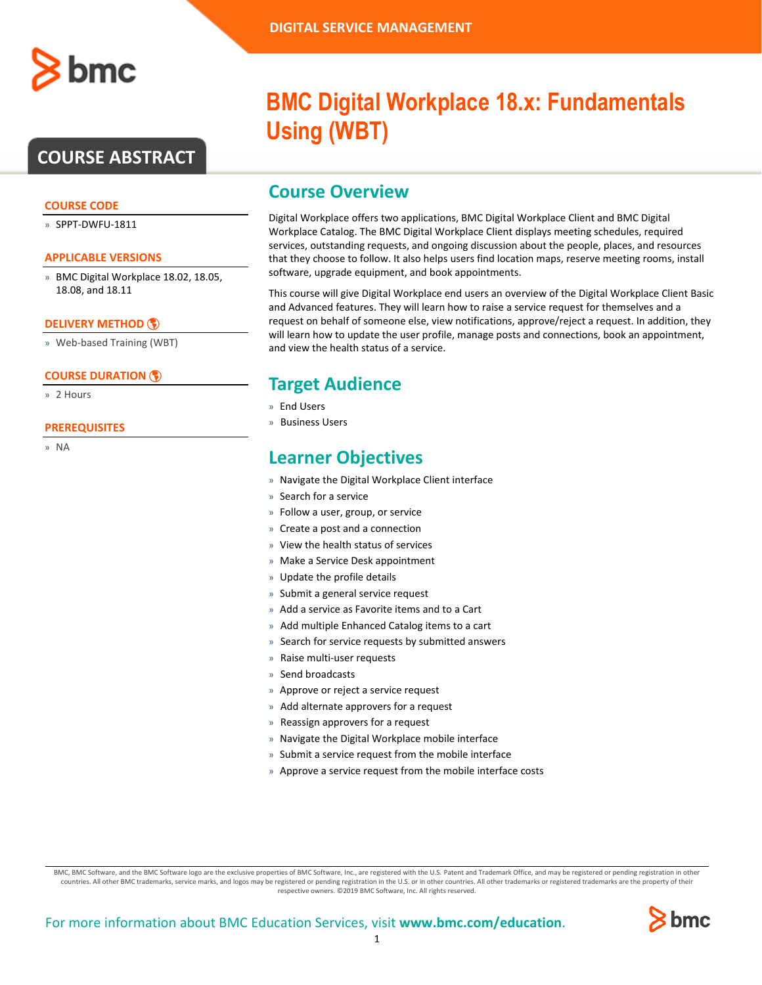

## **COURSE ABSTRACT**

#### **COURSE CODE**

» SPPT-DWFU-1811

#### **APPLICABLE VERSIONS**

» BMC Digital Workplace 18.02, 18.05, 18.08, and 18.11

#### **[DELIVERY METHOD](http://www.bmc.com/education/modality.html)**

» Web-based Training (WBT)

#### **[COURSE DURATION](http://www.bmc.com/education/learning-paths/education-filters-learning-paths.html)**

» 2 Hours

#### **PREREQUISITES**

» NA

# **BMC Digital Workplace 18.x: Fundamentals Using (WBT)**

### **Course Overview**

Digital Workplace offers two applications, BMC Digital Workplace Client and BMC Digital Workplace Catalog. The BMC Digital Workplace Client displays meeting schedules, required services, outstanding requests, and ongoing discussion about the people, places, and resources that they choose to follow. It also helps users find location maps, reserve meeting rooms, install software, upgrade equipment, and book appointments.

This course will give Digital Workplace end users an overview of the Digital Workplace Client Basic and Advanced features. They will learn how to raise a service request for themselves and a request on behalf of someone else, view notifications, approve/reject a request. In addition, they will learn how to update the user profile, manage posts and connections, book an appointment, and view the health status of a service.

### **Target Audience**

- » End Users
- » Business Users

## **Learner Objectives**

- » Navigate the Digital Workplace Client interface
- » Search for a service
- » Follow a user, group, or service
- » Create a post and a connection
- » View the health status of services
- » Make a Service Desk appointment
- » Update the profile details
- » Submit a general service request
- » Add a service as Favorite items and to a Cart
- » Add multiple Enhanced Catalog items to a cart
- » Search for service requests by submitted answers
- » Raise multi-user requests
- » Send broadcasts
- » Approve or reject a service request
- » Add alternate approvers for a request
- » Reassign approvers for a request
- » Navigate the Digital Workplace mobile interface
- » Submit a service request from the mobile interface
- » Approve a service request from the mobile interface costs

BMC, BMC Software, and the BMC Software logo are the exclusive properties of BMC Software, Inc., are registered with the U.S. Patent and Trademark Office, and may be registered or pending registration in other countries. All other BMC trademarks, service marks, and logos may be registered or pending registration in the U.S. or in other countries. All other trademarks or registered trademarks are the property of their respective owners. ©2019 BMC Software, Inc. All rights reserved.